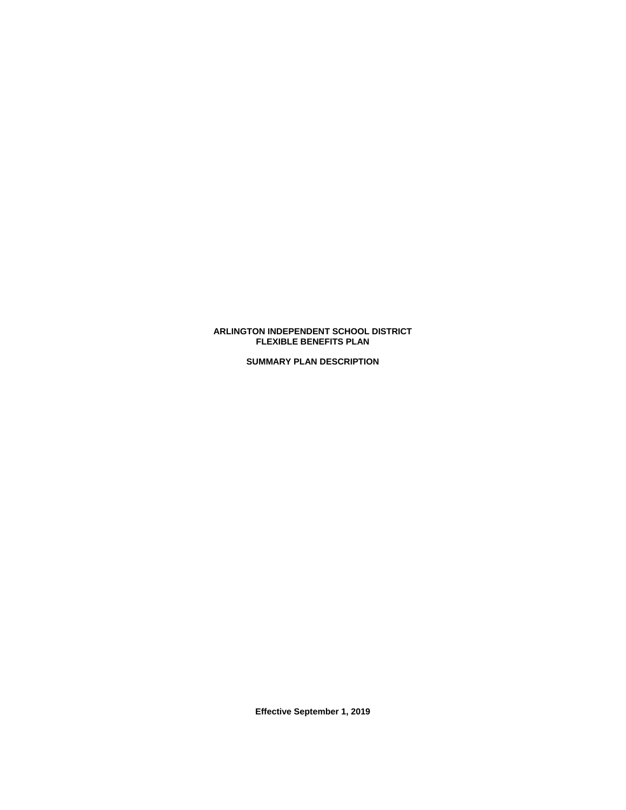# **ARLINGTON INDEPENDENT SCHOOL DISTRICT FLEXIBLE BENEFITS PLAN**

**SUMMARY PLAN DESCRIPTION**

**Effective September 1, 2019**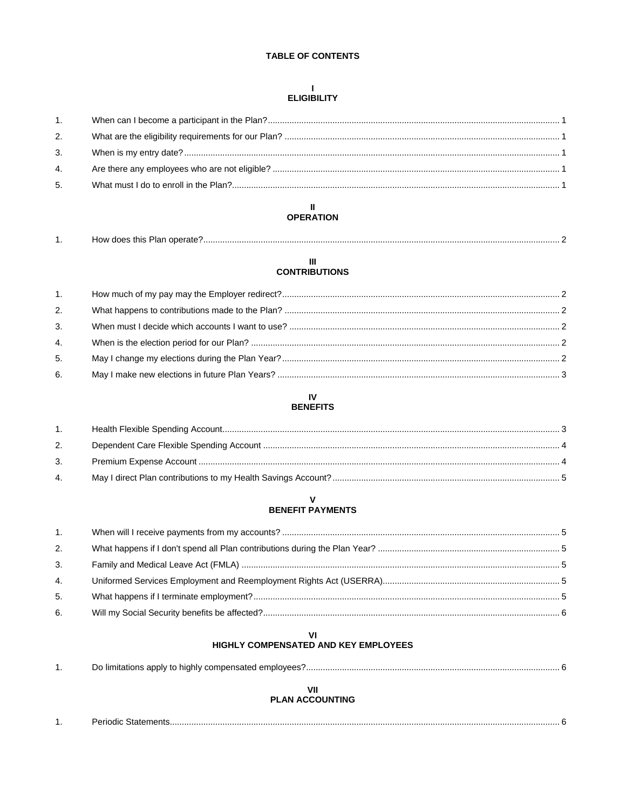# **TABLE OF CONTENTS**

# $\sim 1$ **ELIGIBILITY**

| 1. |  |
|----|--|
| 2. |  |
| 3. |  |
| 4. |  |
| 5. |  |
|    |  |

#### $\blacksquare$ **OPERATION**

|  | <br>างพ<br>Plar<br>' does this .<br>operate |  |
|--|---------------------------------------------|--|
|--|---------------------------------------------|--|

# $\mathbf{H}$ **CONTRIBUTIONS**

| 1. |  |
|----|--|
| 2. |  |
| 3. |  |
| 4. |  |
| 5. |  |
| 6. |  |

#### **IV BENEFITS**

| 1 <sup>1</sup> |  |
|----------------|--|
| 2.             |  |
| 3 <sub>1</sub> |  |
| 4.             |  |

# ${\bf V}$ **BENEFIT PAYMENTS**

| 1. |  |
|----|--|
| 2. |  |
| 3. |  |
| 4. |  |
| 5. |  |
| 6. |  |
|    |  |

# VI<br>HIGHLY COMPENSATED AND KEY EMPLOYEES

# **PLAN ACCOUNTING**

| . . | זור<br>_____ |
|-----|--------------|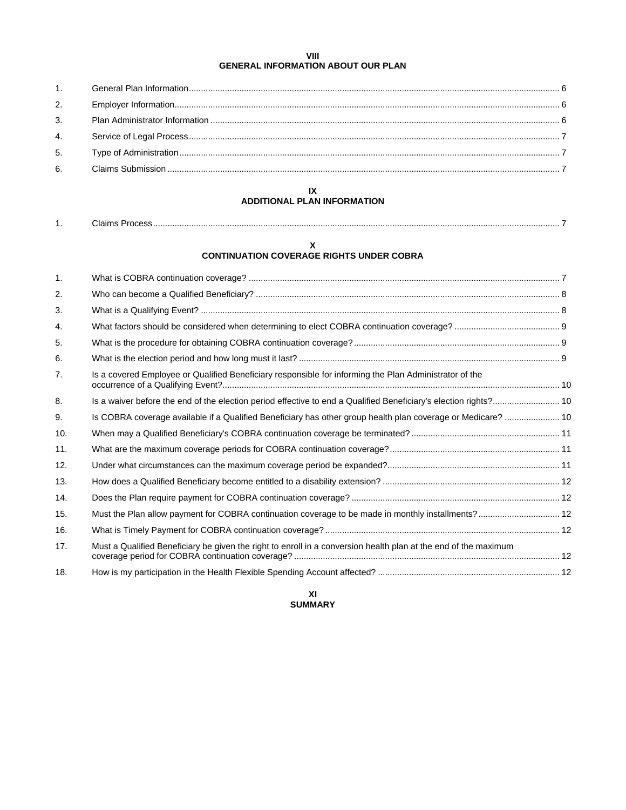# **VIII GENERAL INFORMATION ABOUT OUR PLAN**

# **IX ADDITIONAL PLAN INFORMATION**

| . . | .iain<br>. . |  |
|-----|--------------|--|
|     |              |  |

#### **X CONTINUATION COVERAGE RIGHTS UNDER COBRA**

| 1.  |                                                                                                                  |  |
|-----|------------------------------------------------------------------------------------------------------------------|--|
| 2.  |                                                                                                                  |  |
| 3.  |                                                                                                                  |  |
| 4.  |                                                                                                                  |  |
| 5.  |                                                                                                                  |  |
| 6.  |                                                                                                                  |  |
| 7.  | Is a covered Employee or Qualified Beneficiary responsible for informing the Plan Administrator of the           |  |
| 8.  | Is a waiver before the end of the election period effective to end a Qualified Beneficiary's election rights? 10 |  |
| 9.  | Is COBRA coverage available if a Qualified Beneficiary has other group health plan coverage or Medicare?  10     |  |
| 10. |                                                                                                                  |  |
| 11. |                                                                                                                  |  |
| 12. |                                                                                                                  |  |
| 13. |                                                                                                                  |  |
| 14. |                                                                                                                  |  |
| 15. | Must the Plan allow payment for COBRA continuation coverage to be made in monthly installments? 12               |  |
| 16. |                                                                                                                  |  |
| 17. | Must a Qualified Beneficiary be given the right to enroll in a conversion health plan at the end of the maximum  |  |
| 18. |                                                                                                                  |  |
|     |                                                                                                                  |  |

**XI SUMMARY**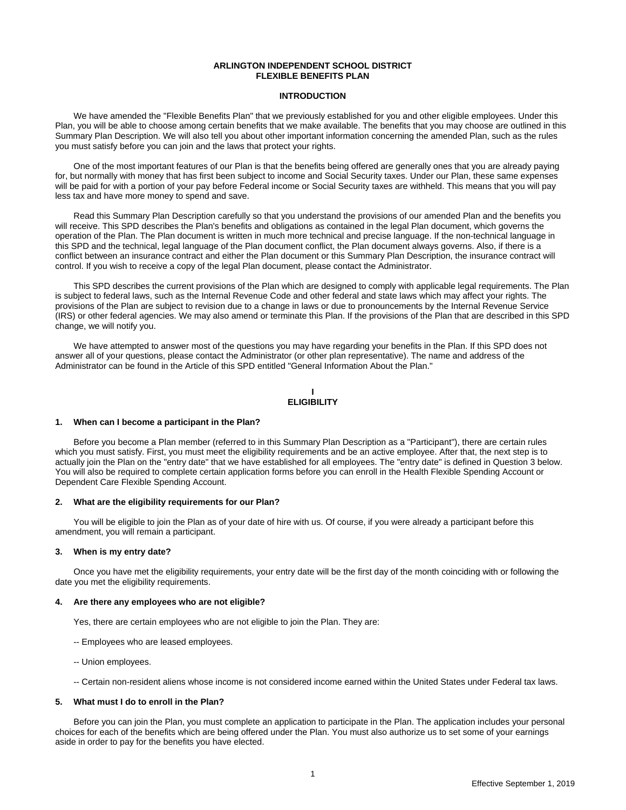# **ARLINGTON INDEPENDENT SCHOOL DISTRICT FLEXIBLE BENEFITS PLAN**

# **INTRODUCTION**

We have amended the "Flexible Benefits Plan" that we previously established for you and other eligible employees. Under this Plan, you will be able to choose among certain benefits that we make available. The benefits that you may choose are outlined in this Summary Plan Description. We will also tell you about other important information concerning the amended Plan, such as the rules you must satisfy before you can join and the laws that protect your rights.

One of the most important features of our Plan is that the benefits being offered are generally ones that you are already paying for, but normally with money that has first been subject to income and Social Security taxes. Under our Plan, these same expenses will be paid for with a portion of your pay before Federal income or Social Security taxes are withheld. This means that you will pay less tax and have more money to spend and save.

Read this Summary Plan Description carefully so that you understand the provisions of our amended Plan and the benefits you will receive. This SPD describes the Plan's benefits and obligations as contained in the legal Plan document, which governs the operation of the Plan. The Plan document is written in much more technical and precise language. If the non-technical language in this SPD and the technical, legal language of the Plan document conflict, the Plan document always governs. Also, if there is a conflict between an insurance contract and either the Plan document or this Summary Plan Description, the insurance contract will control. If you wish to receive a copy of the legal Plan document, please contact the Administrator.

This SPD describes the current provisions of the Plan which are designed to comply with applicable legal requirements. The Plan is subject to federal laws, such as the Internal Revenue Code and other federal and state laws which may affect your rights. The provisions of the Plan are subject to revision due to a change in laws or due to pronouncements by the Internal Revenue Service (IRS) or other federal agencies. We may also amend or terminate this Plan. If the provisions of the Plan that are described in this SPD change, we will notify you.

We have attempted to answer most of the questions you may have regarding your benefits in the Plan. If this SPD does not answer all of your questions, please contact the Administrator (or other plan representative). The name and address of the Administrator can be found in the Article of this SPD entitled "General Information About the Plan."

**I ELIGIBILITY**

#### **1. When can I become a participant in the Plan?**

Before you become a Plan member (referred to in this Summary Plan Description as a "Participant"), there are certain rules which you must satisfy. First, you must meet the eligibility requirements and be an active employee. After that, the next step is to actually join the Plan on the "entry date" that we have established for all employees. The "entry date" is defined in Question 3 below. You will also be required to complete certain application forms before you can enroll in the Health Flexible Spending Account or Dependent Care Flexible Spending Account.

#### **2. What are the eligibility requirements for our Plan?**

You will be eligible to join the Plan as of your date of hire with us. Of course, if you were already a participant before this amendment, you will remain a participant.

# **3. When is my entry date?**

Once you have met the eligibility requirements, your entry date will be the first day of the month coinciding with or following the date you met the eligibility requirements.

#### **4. Are there any employees who are not eligible?**

Yes, there are certain employees who are not eligible to join the Plan. They are:

- -- Employees who are leased employees.
- -- Union employees.
- -- Certain non-resident aliens whose income is not considered income earned within the United States under Federal tax laws.

# **5. What must I do to enroll in the Plan?**

Before you can join the Plan, you must complete an application to participate in the Plan. The application includes your personal choices for each of the benefits which are being offered under the Plan. You must also authorize us to set some of your earnings aside in order to pay for the benefits you have elected.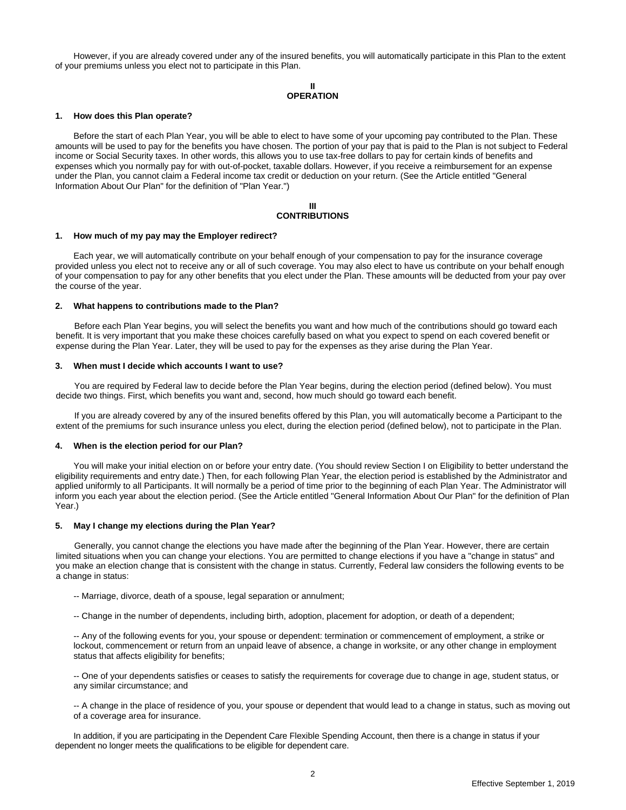However, if you are already covered under any of the insured benefits, you will automatically participate in this Plan to the extent of your premiums unless you elect not to participate in this Plan.

> **II OPERATION**

#### **1. How does this Plan operate?**

Before the start of each Plan Year, you will be able to elect to have some of your upcoming pay contributed to the Plan. These amounts will be used to pay for the benefits you have chosen. The portion of your pay that is paid to the Plan is not subject to Federal income or Social Security taxes. In other words, this allows you to use tax-free dollars to pay for certain kinds of benefits and expenses which you normally pay for with out-of-pocket, taxable dollars. However, if you receive a reimbursement for an expense under the Plan, you cannot claim a Federal income tax credit or deduction on your return. (See the Article entitled "General Information About Our Plan" for the definition of "Plan Year.")

#### **III CONTRIBUTIONS**

#### **1. How much of my pay may the Employer redirect?**

Each year, we will automatically contribute on your behalf enough of your compensation to pay for the insurance coverage provided unless you elect not to receive any or all of such coverage. You may also elect to have us contribute on your behalf enough of your compensation to pay for any other benefits that you elect under the Plan. These amounts will be deducted from your pay over the course of the year.

# **2. What happens to contributions made to the Plan?**

Before each Plan Year begins, you will select the benefits you want and how much of the contributions should go toward each benefit. It is very important that you make these choices carefully based on what you expect to spend on each covered benefit or expense during the Plan Year. Later, they will be used to pay for the expenses as they arise during the Plan Year.

#### **3. When must I decide which accounts I want to use?**

You are required by Federal law to decide before the Plan Year begins, during the election period (defined below). You must decide two things. First, which benefits you want and, second, how much should go toward each benefit.

If you are already covered by any of the insured benefits offered by this Plan, you will automatically become a Participant to the extent of the premiums for such insurance unless you elect, during the election period (defined below), not to participate in the Plan.

#### **4. When is the election period for our Plan?**

You will make your initial election on or before your entry date. (You should review Section I on Eligibility to better understand the eligibility requirements and entry date.) Then, for each following Plan Year, the election period is established by the Administrator and applied uniformly to all Participants. It will normally be a period of time prior to the beginning of each Plan Year. The Administrator will inform you each year about the election period. (See the Article entitled "General Information About Our Plan" for the definition of Plan Year.)

#### **5. May I change my elections during the Plan Year?**

Generally, you cannot change the elections you have made after the beginning of the Plan Year. However, there are certain limited situations when you can change your elections. You are permitted to change elections if you have a "change in status" and you make an election change that is consistent with the change in status. Currently, Federal law considers the following events to be a change in status:

- -- Marriage, divorce, death of a spouse, legal separation or annulment;
- -- Change in the number of dependents, including birth, adoption, placement for adoption, or death of a dependent;

-- Any of the following events for you, your spouse or dependent: termination or commencement of employment, a strike or lockout, commencement or return from an unpaid leave of absence, a change in worksite, or any other change in employment status that affects eligibility for benefits;

-- One of your dependents satisfies or ceases to satisfy the requirements for coverage due to change in age, student status, or any similar circumstance; and

-- A change in the place of residence of you, your spouse or dependent that would lead to a change in status, such as moving out of a coverage area for insurance.

In addition, if you are participating in the Dependent Care Flexible Spending Account, then there is a change in status if your dependent no longer meets the qualifications to be eligible for dependent care.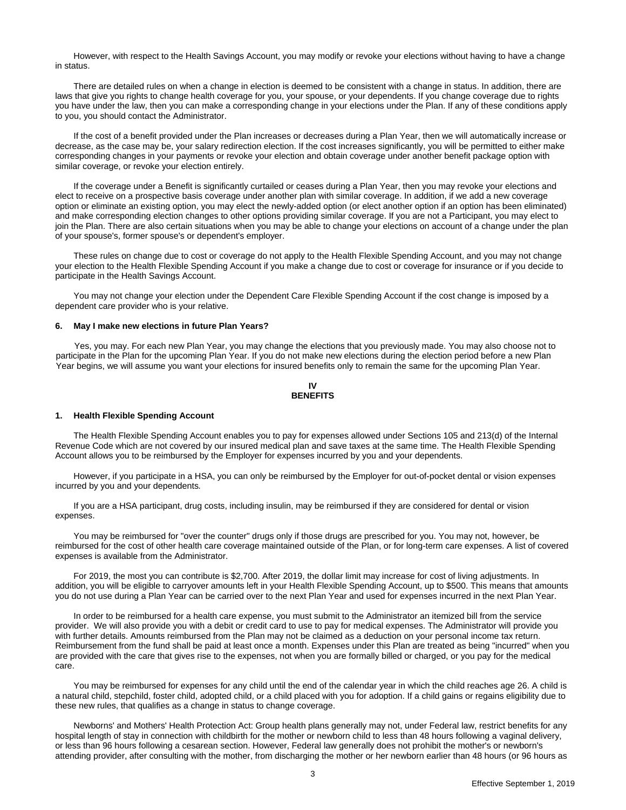However, with respect to the Health Savings Account, you may modify or revoke your elections without having to have a change in status.

There are detailed rules on when a change in election is deemed to be consistent with a change in status. In addition, there are laws that give you rights to change health coverage for you, your spouse, or your dependents. If you change coverage due to rights you have under the law, then you can make a corresponding change in your elections under the Plan. If any of these conditions apply to you, you should contact the Administrator.

If the cost of a benefit provided under the Plan increases or decreases during a Plan Year, then we will automatically increase or decrease, as the case may be, your salary redirection election. If the cost increases significantly, you will be permitted to either make corresponding changes in your payments or revoke your election and obtain coverage under another benefit package option with similar coverage, or revoke your election entirely.

If the coverage under a Benefit is significantly curtailed or ceases during a Plan Year, then you may revoke your elections and elect to receive on a prospective basis coverage under another plan with similar coverage. In addition, if we add a new coverage option or eliminate an existing option, you may elect the newly-added option (or elect another option if an option has been eliminated) and make corresponding election changes to other options providing similar coverage. If you are not a Participant, you may elect to join the Plan. There are also certain situations when you may be able to change your elections on account of a change under the plan of your spouse's, former spouse's or dependent's employer.

These rules on change due to cost or coverage do not apply to the Health Flexible Spending Account, and you may not change your election to the Health Flexible Spending Account if you make a change due to cost or coverage for insurance or if you decide to participate in the Health Savings Account.

You may not change your election under the Dependent Care Flexible Spending Account if the cost change is imposed by a dependent care provider who is your relative.

#### **6. May I make new elections in future Plan Years?**

Yes, you may. For each new Plan Year, you may change the elections that you previously made. You may also choose not to participate in the Plan for the upcoming Plan Year. If you do not make new elections during the election period before a new Plan Year begins, we will assume you want your elections for insured benefits only to remain the same for the upcoming Plan Year.

#### **IV BENEFITS**

#### **1. Health Flexible Spending Account**

The Health Flexible Spending Account enables you to pay for expenses allowed under Sections 105 and 213(d) of the Internal Revenue Code which are not covered by our insured medical plan and save taxes at the same time. The Health Flexible Spending Account allows you to be reimbursed by the Employer for expenses incurred by you and your dependents.

However, if you participate in a HSA, you can only be reimbursed by the Employer for out-of-pocket dental or vision expenses incurred by you and your dependents*.*

If you are a HSA participant, drug costs, including insulin, may be reimbursed if they are considered for dental or vision expenses.

You may be reimbursed for "over the counter" drugs only if those drugs are prescribed for you. You may not, however, be reimbursed for the cost of other health care coverage maintained outside of the Plan, or for long-term care expenses. A list of covered expenses is available from the Administrator.

For 2019, the most you can contribute is \$2,700. After 2019, the dollar limit may increase for cost of living adjustments. In addition, you will be eligible to carryover amounts left in your Health Flexible Spending Account, up to \$500. This means that amounts you do not use during a Plan Year can be carried over to the next Plan Year and used for expenses incurred in the next Plan Year.

In order to be reimbursed for a health care expense, you must submit to the Administrator an itemized bill from the service provider. We will also provide you with a debit or credit card to use to pay for medical expenses. The Administrator will provide you with further details. Amounts reimbursed from the Plan may not be claimed as a deduction on your personal income tax return. Reimbursement from the fund shall be paid at least once a month. Expenses under this Plan are treated as being "incurred" when you are provided with the care that gives rise to the expenses, not when you are formally billed or charged, or you pay for the medical care.

You may be reimbursed for expenses for any child until the end of the calendar year in which the child reaches age 26. A child is a natural child, stepchild, foster child, adopted child, or a child placed with you for adoption. If a child gains or regains eligibility due to these new rules, that qualifies as a change in status to change coverage.

Newborns' and Mothers' Health Protection Act: Group health plans generally may not, under Federal law, restrict benefits for any hospital length of stay in connection with childbirth for the mother or newborn child to less than 48 hours following a vaginal delivery, or less than 96 hours following a cesarean section. However, Federal law generally does not prohibit the mother's or newborn's attending provider, after consulting with the mother, from discharging the mother or her newborn earlier than 48 hours (or 96 hours as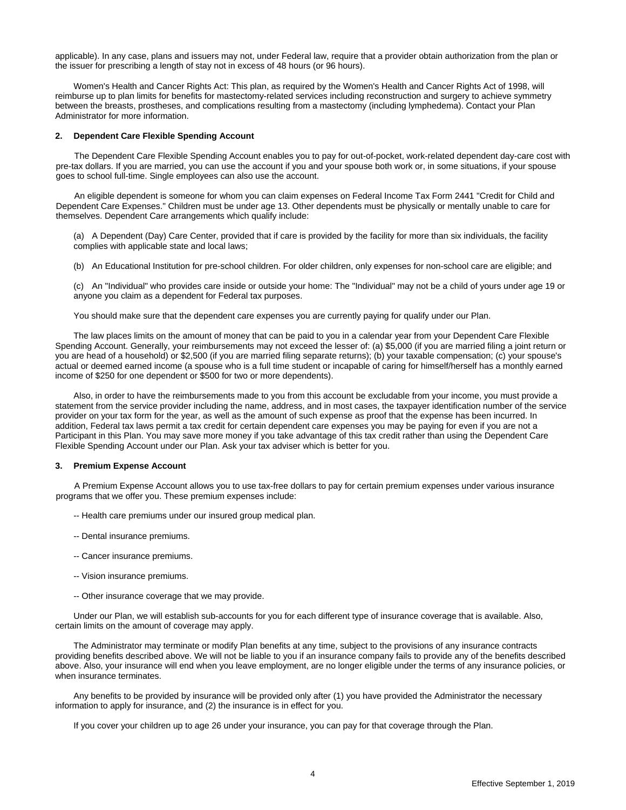applicable). In any case, plans and issuers may not, under Federal law, require that a provider obtain authorization from the plan or the issuer for prescribing a length of stay not in excess of 48 hours (or 96 hours).

Women's Health and Cancer Rights Act: This plan, as required by the Women's Health and Cancer Rights Act of 1998, will reimburse up to plan limits for benefits for mastectomy-related services including reconstruction and surgery to achieve symmetry between the breasts, prostheses, and complications resulting from a mastectomy (including lymphedema). Contact your Plan Administrator for more information.

#### **2. Dependent Care Flexible Spending Account**

The Dependent Care Flexible Spending Account enables you to pay for out-of-pocket, work-related dependent day-care cost with pre-tax dollars. If you are married, you can use the account if you and your spouse both work or, in some situations, if your spouse goes to school full-time. Single employees can also use the account.

An eligible dependent is someone for whom you can claim expenses on Federal Income Tax Form 2441 "Credit for Child and Dependent Care Expenses." Children must be under age 13. Other dependents must be physically or mentally unable to care for themselves. Dependent Care arrangements which qualify include:

(a) A Dependent (Day) Care Center, provided that if care is provided by the facility for more than six individuals, the facility complies with applicable state and local laws;

(b) An Educational Institution for pre-school children. For older children, only expenses for non-school care are eligible; and

(c) An "Individual" who provides care inside or outside your home: The "Individual" may not be a child of yours under age 19 or anyone you claim as a dependent for Federal tax purposes.

You should make sure that the dependent care expenses you are currently paying for qualify under our Plan.

The law places limits on the amount of money that can be paid to you in a calendar year from your Dependent Care Flexible Spending Account. Generally, your reimbursements may not exceed the lesser of: (a) \$5,000 (if you are married filing a joint return or you are head of a household) or \$2,500 (if you are married filing separate returns); (b) your taxable compensation; (c) your spouse's actual or deemed earned income (a spouse who is a full time student or incapable of caring for himself/herself has a monthly earned income of \$250 for one dependent or \$500 for two or more dependents).

Also, in order to have the reimbursements made to you from this account be excludable from your income, you must provide a statement from the service provider including the name, address, and in most cases, the taxpayer identification number of the service provider on your tax form for the year, as well as the amount of such expense as proof that the expense has been incurred. In addition, Federal tax laws permit a tax credit for certain dependent care expenses you may be paying for even if you are not a Participant in this Plan. You may save more money if you take advantage of this tax credit rather than using the Dependent Care Flexible Spending Account under our Plan. Ask your tax adviser which is better for you.

#### **3. Premium Expense Account**

A Premium Expense Account allows you to use tax-free dollars to pay for certain premium expenses under various insurance programs that we offer you. These premium expenses include:

- -- Health care premiums under our insured group medical plan.
- -- Dental insurance premiums.
- -- Cancer insurance premiums.
- -- Vision insurance premiums.
- -- Other insurance coverage that we may provide.

Under our Plan, we will establish sub-accounts for you for each different type of insurance coverage that is available. Also, certain limits on the amount of coverage may apply.

The Administrator may terminate or modify Plan benefits at any time, subject to the provisions of any insurance contracts providing benefits described above. We will not be liable to you if an insurance company fails to provide any of the benefits described above. Also, your insurance will end when you leave employment, are no longer eligible under the terms of any insurance policies, or when insurance terminates.

Any benefits to be provided by insurance will be provided only after (1) you have provided the Administrator the necessary information to apply for insurance, and (2) the insurance is in effect for you.

If you cover your children up to age 26 under your insurance, you can pay for that coverage through the Plan.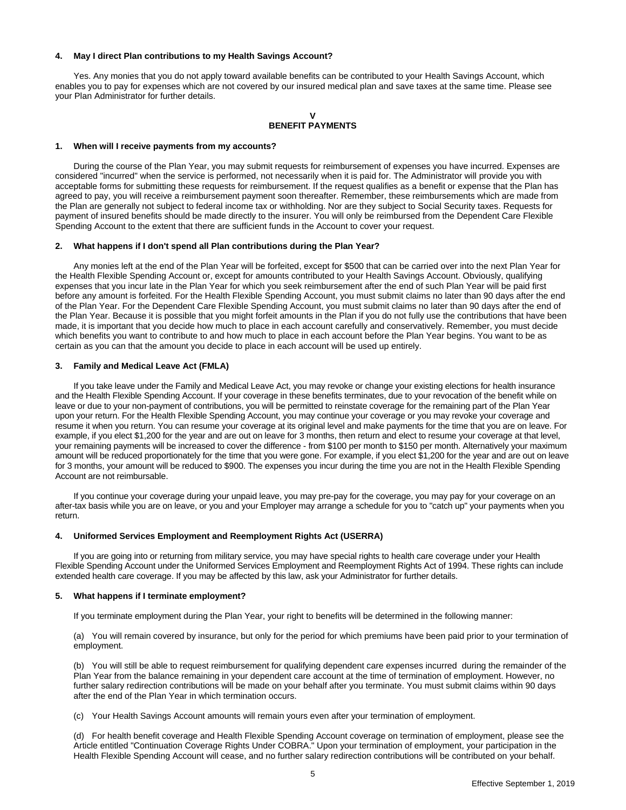# **4. May I direct Plan contributions to my Health Savings Account?**

Yes. Any monies that you do not apply toward available benefits can be contributed to your Health Savings Account, which enables you to pay for expenses which are not covered by our insured medical plan and save taxes at the same time. Please see your Plan Administrator for further details.

# **V BENEFIT PAYMENTS**

# **1. When will I receive payments from my accounts?**

During the course of the Plan Year, you may submit requests for reimbursement of expenses you have incurred. Expenses are considered "incurred" when the service is performed, not necessarily when it is paid for. The Administrator will provide you with acceptable forms for submitting these requests for reimbursement. If the request qualifies as a benefit or expense that the Plan has agreed to pay, you will receive a reimbursement payment soon thereafter. Remember, these reimbursements which are made from the Plan are generally not subject to federal income tax or withholding. Nor are they subject to Social Security taxes. Requests for payment of insured benefits should be made directly to the insurer. You will only be reimbursed from the Dependent Care Flexible Spending Account to the extent that there are sufficient funds in the Account to cover your request.

#### **2. What happens if I don't spend all Plan contributions during the Plan Year?**

Any monies left at the end of the Plan Year will be forfeited, except for \$500 that can be carried over into the next Plan Year for the Health Flexible Spending Account or, except for amounts contributed to your Health Savings Account. Obviously, qualifying expenses that you incur late in the Plan Year for which you seek reimbursement after the end of such Plan Year will be paid first before any amount is forfeited. For the Health Flexible Spending Account, you must submit claims no later than 90 days after the end of the Plan Year. For the Dependent Care Flexible Spending Account, you must submit claims no later than 90 days after the end of the Plan Year. Because it is possible that you might forfeit amounts in the Plan if you do not fully use the contributions that have been made, it is important that you decide how much to place in each account carefully and conservatively. Remember, you must decide which benefits you want to contribute to and how much to place in each account before the Plan Year begins. You want to be as certain as you can that the amount you decide to place in each account will be used up entirely.

# **3. Family and Medical Leave Act (FMLA)**

If you take leave under the Family and Medical Leave Act, you may revoke or change your existing elections for health insurance and the Health Flexible Spending Account. If your coverage in these benefits terminates, due to your revocation of the benefit while on leave or due to your non-payment of contributions, you will be permitted to reinstate coverage for the remaining part of the Plan Year upon your return. For the Health Flexible Spending Account, you may continue your coverage or you may revoke your coverage and resume it when you return. You can resume your coverage at its original level and make payments for the time that you are on leave. For example, if you elect \$1,200 for the year and are out on leave for 3 months, then return and elect to resume your coverage at that level, your remaining payments will be increased to cover the difference - from \$100 per month to \$150 per month. Alternatively your maximum amount will be reduced proportionately for the time that you were gone. For example, if you elect \$1,200 for the year and are out on leave for 3 months, your amount will be reduced to \$900. The expenses you incur during the time you are not in the Health Flexible Spending Account are not reimbursable.

If you continue your coverage during your unpaid leave, you may pre-pay for the coverage, you may pay for your coverage on an after-tax basis while you are on leave, or you and your Employer may arrange a schedule for you to "catch up" your payments when you return.

# **4. Uniformed Services Employment and Reemployment Rights Act (USERRA)**

If you are going into or returning from military service, you may have special rights to health care coverage under your Health Flexible Spending Account under the Uniformed Services Employment and Reemployment Rights Act of 1994. These rights can include extended health care coverage. If you may be affected by this law, ask your Administrator for further details.

# **5. What happens if I terminate employment?**

If you terminate employment during the Plan Year, your right to benefits will be determined in the following manner:

(a) You will remain covered by insurance, but only for the period for which premiums have been paid prior to your termination of employment.

(b) You will still be able to request reimbursement for qualifying dependent care expenses incurred during the remainder of the Plan Year from the balance remaining in your dependent care account at the time of termination of employment. However, no further salary redirection contributions will be made on your behalf after you terminate. You must submit claims within 90 days after the end of the Plan Year in which termination occurs.

(c) Your Health Savings Account amounts will remain yours even after your termination of employment.

(d) For health benefit coverage and Health Flexible Spending Account coverage on termination of employment, please see the Article entitled "Continuation Coverage Rights Under COBRA." Upon your termination of employment, your participation in the Health Flexible Spending Account will cease, and no further salary redirection contributions will be contributed on your behalf.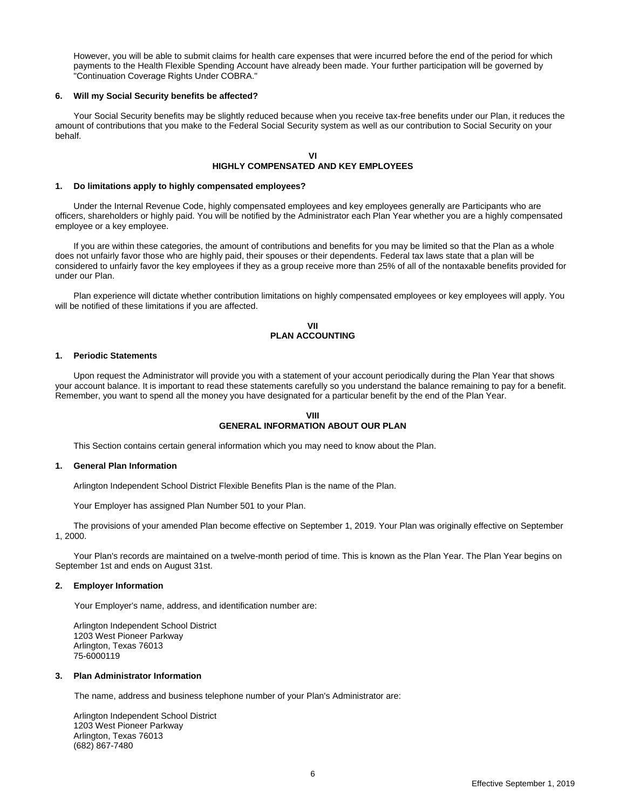However, you will be able to submit claims for health care expenses that were incurred before the end of the period for which payments to the Health Flexible Spending Account have already been made. Your further participation will be governed by "Continuation Coverage Rights Under COBRA."

#### **6. Will my Social Security benefits be affected?**

Your Social Security benefits may be slightly reduced because when you receive tax-free benefits under our Plan, it reduces the amount of contributions that you make to the Federal Social Security system as well as our contribution to Social Security on your behalf.

# **VI HIGHLY COMPENSATED AND KEY EMPLOYEES**

#### **1. Do limitations apply to highly compensated employees?**

Under the Internal Revenue Code, highly compensated employees and key employees generally are Participants who are officers, shareholders or highly paid. You will be notified by the Administrator each Plan Year whether you are a highly compensated employee or a key employee.

If you are within these categories, the amount of contributions and benefits for you may be limited so that the Plan as a whole does not unfairly favor those who are highly paid, their spouses or their dependents. Federal tax laws state that a plan will be considered to unfairly favor the key employees if they as a group receive more than 25% of all of the nontaxable benefits provided for under our Plan.

Plan experience will dictate whether contribution limitations on highly compensated employees or key employees will apply. You will be notified of these limitations if you are affected.

## **VII PLAN ACCOUNTING**

#### **1. Periodic Statements**

Upon request the Administrator will provide you with a statement of your account periodically during the Plan Year that shows your account balance. It is important to read these statements carefully so you understand the balance remaining to pay for a benefit. Remember, you want to spend all the money you have designated for a particular benefit by the end of the Plan Year.

#### **VIII GENERAL INFORMATION ABOUT OUR PLAN**

This Section contains certain general information which you may need to know about the Plan.

#### **1. General Plan Information**

Arlington Independent School District Flexible Benefits Plan is the name of the Plan.

Your Employer has assigned Plan Number 501 to your Plan.

The provisions of your amended Plan become effective on September 1, 2019. Your Plan was originally effective on September 1, 2000.

Your Plan's records are maintained on a twelve-month period of time. This is known as the Plan Year. The Plan Year begins on September 1st and ends on August 31st.

#### **2. Employer Information**

Your Employer's name, address, and identification number are:

Arlington Independent School District 1203 West Pioneer Parkway Arlington, Texas 76013 75-6000119

# **3. Plan Administrator Information**

The name, address and business telephone number of your Plan's Administrator are:

Arlington Independent School District 1203 West Pioneer Parkway Arlington, Texas 76013 (682) 867-7480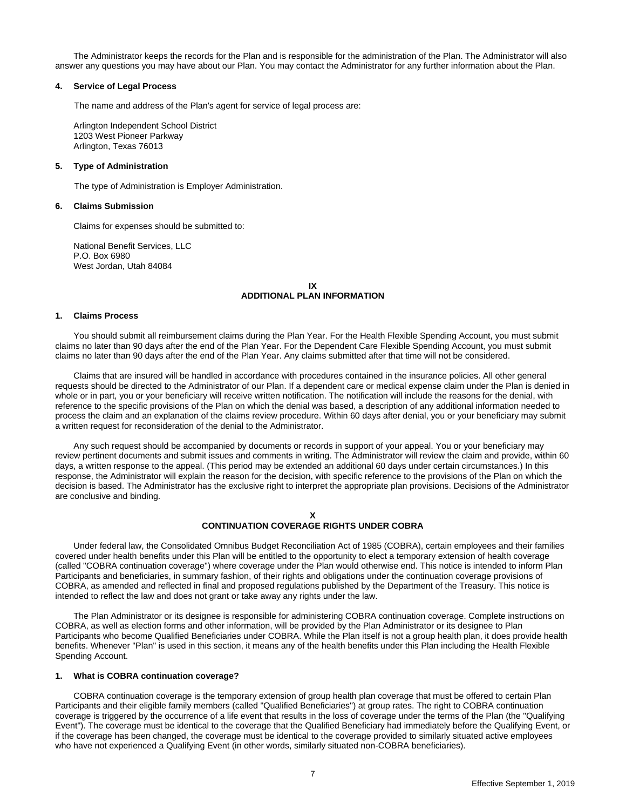The Administrator keeps the records for the Plan and is responsible for the administration of the Plan. The Administrator will also answer any questions you may have about our Plan. You may contact the Administrator for any further information about the Plan.

#### **4. Service of Legal Process**

The name and address of the Plan's agent for service of legal process are:

Arlington Independent School District 1203 West Pioneer Parkway Arlington, Texas 76013

#### **5. Type of Administration**

The type of Administration is Employer Administration.

#### **6. Claims Submission**

Claims for expenses should be submitted to:

National Benefit Services, LLC P.O. Box 6980 West Jordan, Utah 84084

> **IX ADDITIONAL PLAN INFORMATION**

### **1. Claims Process**

You should submit all reimbursement claims during the Plan Year. For the Health Flexible Spending Account, you must submit claims no later than 90 days after the end of the Plan Year. For the Dependent Care Flexible Spending Account, you must submit claims no later than 90 days after the end of the Plan Year. Any claims submitted after that time will not be considered.

Claims that are insured will be handled in accordance with procedures contained in the insurance policies. All other general requests should be directed to the Administrator of our Plan. If a dependent care or medical expense claim under the Plan is denied in whole or in part, you or your beneficiary will receive written notification. The notification will include the reasons for the denial, with reference to the specific provisions of the Plan on which the denial was based, a description of any additional information needed to process the claim and an explanation of the claims review procedure. Within 60 days after denial, you or your beneficiary may submit a written request for reconsideration of the denial to the Administrator.

Any such request should be accompanied by documents or records in support of your appeal. You or your beneficiary may review pertinent documents and submit issues and comments in writing. The Administrator will review the claim and provide, within 60 days, a written response to the appeal. (This period may be extended an additional 60 days under certain circumstances.) In this response, the Administrator will explain the reason for the decision, with specific reference to the provisions of the Plan on which the decision is based. The Administrator has the exclusive right to interpret the appropriate plan provisions. Decisions of the Administrator are conclusive and binding.

# **CONTINUATION COVERAGE RIGHTS UNDER COBRA**

Under federal law, the Consolidated Omnibus Budget Reconciliation Act of 1985 (COBRA), certain employees and their families covered under health benefits under this Plan will be entitled to the opportunity to elect a temporary extension of health coverage (called "COBRA continuation coverage") where coverage under the Plan would otherwise end. This notice is intended to inform Plan Participants and beneficiaries, in summary fashion, of their rights and obligations under the continuation coverage provisions of COBRA, as amended and reflected in final and proposed regulations published by the Department of the Treasury. This notice is intended to reflect the law and does not grant or take away any rights under the law.

The Plan Administrator or its designee is responsible for administering COBRA continuation coverage. Complete instructions on COBRA, as well as election forms and other information, will be provided by the Plan Administrator or its designee to Plan Participants who become Qualified Beneficiaries under COBRA. While the Plan itself is not a group health plan, it does provide health benefits. Whenever "Plan" is used in this section, it means any of the health benefits under this Plan including the Health Flexible Spending Account.

# **1. What is COBRA continuation coverage?**

COBRA continuation coverage is the temporary extension of group health plan coverage that must be offered to certain Plan Participants and their eligible family members (called "Qualified Beneficiaries") at group rates. The right to COBRA continuation coverage is triggered by the occurrence of a life event that results in the loss of coverage under the terms of the Plan (the "Qualifying Event"). The coverage must be identical to the coverage that the Qualified Beneficiary had immediately before the Qualifying Event, or if the coverage has been changed, the coverage must be identical to the coverage provided to similarly situated active employees who have not experienced a Qualifying Event (in other words, similarly situated non-COBRA beneficiaries).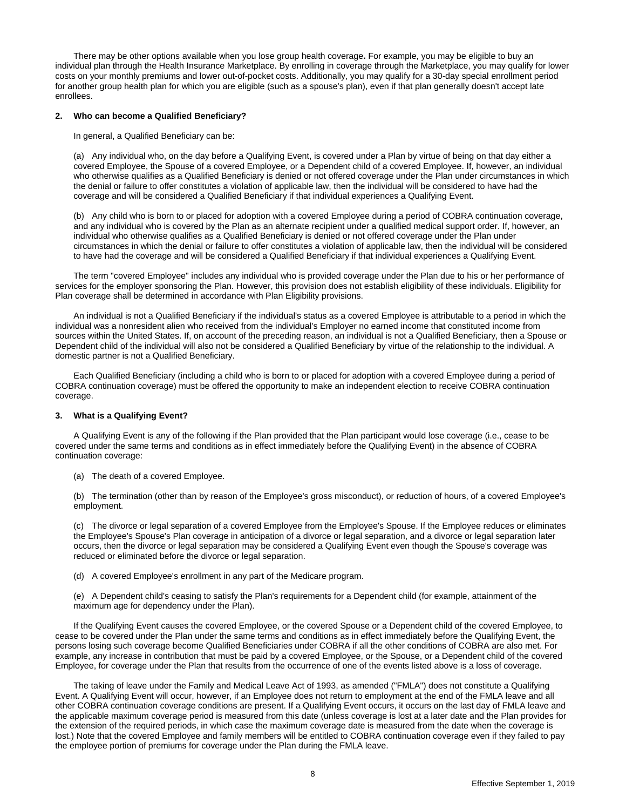There may be other options available when you lose group health coverage**.** For example, you may be eligible to buy an individual plan through the Health Insurance Marketplace. By enrolling in coverage through the Marketplace, you may qualify for lower costs on your monthly premiums and lower out-of-pocket costs. Additionally, you may qualify for a 30-day special enrollment period for another group health plan for which you are eligible (such as a spouse's plan), even if that plan generally doesn't accept late enrollees.

#### **2. Who can become a Qualified Beneficiary?**

In general, a Qualified Beneficiary can be:

(a) Any individual who, on the day before a Qualifying Event, is covered under a Plan by virtue of being on that day either a covered Employee, the Spouse of a covered Employee, or a Dependent child of a covered Employee. If, however, an individual who otherwise qualifies as a Qualified Beneficiary is denied or not offered coverage under the Plan under circumstances in which the denial or failure to offer constitutes a violation of applicable law, then the individual will be considered to have had the coverage and will be considered a Qualified Beneficiary if that individual experiences a Qualifying Event.

(b) Any child who is born to or placed for adoption with a covered Employee during a period of COBRA continuation coverage, and any individual who is covered by the Plan as an alternate recipient under a qualified medical support order. If, however, an individual who otherwise qualifies as a Qualified Beneficiary is denied or not offered coverage under the Plan under circumstances in which the denial or failure to offer constitutes a violation of applicable law, then the individual will be considered to have had the coverage and will be considered a Qualified Beneficiary if that individual experiences a Qualifying Event.

The term "covered Employee" includes any individual who is provided coverage under the Plan due to his or her performance of services for the employer sponsoring the Plan. However, this provision does not establish eligibility of these individuals. Eligibility for Plan coverage shall be determined in accordance with Plan Eligibility provisions.

An individual is not a Qualified Beneficiary if the individual's status as a covered Employee is attributable to a period in which the individual was a nonresident alien who received from the individual's Employer no earned income that constituted income from sources within the United States. If, on account of the preceding reason, an individual is not a Qualified Beneficiary, then a Spouse or Dependent child of the individual will also not be considered a Qualified Beneficiary by virtue of the relationship to the individual. A domestic partner is not a Qualified Beneficiary.

Each Qualified Beneficiary (including a child who is born to or placed for adoption with a covered Employee during a period of COBRA continuation coverage) must be offered the opportunity to make an independent election to receive COBRA continuation coverage.

# **3. What is a Qualifying Event?**

A Qualifying Event is any of the following if the Plan provided that the Plan participant would lose coverage (i.e., cease to be covered under the same terms and conditions as in effect immediately before the Qualifying Event) in the absence of COBRA continuation coverage:

(a) The death of a covered Employee.

(b) The termination (other than by reason of the Employee's gross misconduct), or reduction of hours, of a covered Employee's employment.

(c) The divorce or legal separation of a covered Employee from the Employee's Spouse. If the Employee reduces or eliminates the Employee's Spouse's Plan coverage in anticipation of a divorce or legal separation, and a divorce or legal separation later occurs, then the divorce or legal separation may be considered a Qualifying Event even though the Spouse's coverage was reduced or eliminated before the divorce or legal separation.

(d) A covered Employee's enrollment in any part of the Medicare program.

(e) A Dependent child's ceasing to satisfy the Plan's requirements for a Dependent child (for example, attainment of the maximum age for dependency under the Plan).

If the Qualifying Event causes the covered Employee, or the covered Spouse or a Dependent child of the covered Employee, to cease to be covered under the Plan under the same terms and conditions as in effect immediately before the Qualifying Event, the persons losing such coverage become Qualified Beneficiaries under COBRA if all the other conditions of COBRA are also met. For example, any increase in contribution that must be paid by a covered Employee, or the Spouse, or a Dependent child of the covered Employee, for coverage under the Plan that results from the occurrence of one of the events listed above is a loss of coverage.

The taking of leave under the Family and Medical Leave Act of 1993, as amended ("FMLA") does not constitute a Qualifying Event. A Qualifying Event will occur, however, if an Employee does not return to employment at the end of the FMLA leave and all other COBRA continuation coverage conditions are present. If a Qualifying Event occurs, it occurs on the last day of FMLA leave and the applicable maximum coverage period is measured from this date (unless coverage is lost at a later date and the Plan provides for the extension of the required periods, in which case the maximum coverage date is measured from the date when the coverage is lost.) Note that the covered Employee and family members will be entitled to COBRA continuation coverage even if they failed to pay the employee portion of premiums for coverage under the Plan during the FMLA leave.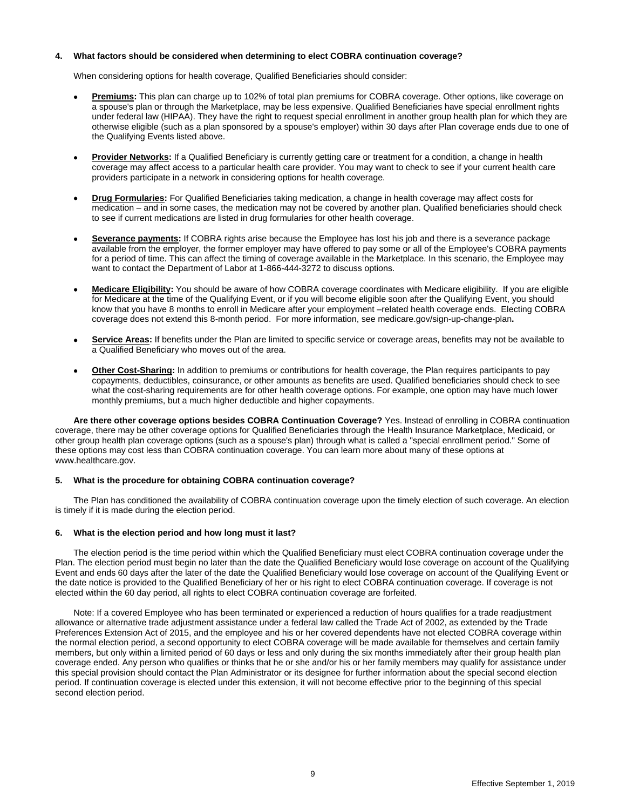# **4. What factors should be considered when determining to elect COBRA continuation coverage?**

When considering options for health coverage, Qualified Beneficiaries should consider:

- **Premiums:** This plan can charge up to 102% of total plan premiums for COBRA coverage. Other options, like coverage on a spouse's plan or through the Marketplace, may be less expensive. Qualified Beneficiaries have special enrollment rights under federal law (HIPAA). They have the right to request special enrollment in another group health plan for which they are otherwise eligible (such as a plan sponsored by a spouse's employer) within 30 days after Plan coverage ends due to one of the Qualifying Events listed above.
- **Provider Networks:** If a Qualified Beneficiary is currently getting care or treatment for a condition, a change in health coverage may affect access to a particular health care provider. You may want to check to see if your current health care providers participate in a network in considering options for health coverage.
- **Drug Formularies:** For Qualified Beneficiaries taking medication, a change in health coverage may affect costs for medication – and in some cases, the medication may not be covered by another plan. Qualified beneficiaries should check to see if current medications are listed in drug formularies for other health coverage.
- **Severance payments:** If COBRA rights arise because the Employee has lost his job and there is a severance package available from the employer, the former employer may have offered to pay some or all of the Employee's COBRA payments for a period of time. This can affect the timing of coverage available in the Marketplace. In this scenario, the Employee may want to contact the Department of Labor at 1-866-444-3272 to discuss options.
- **Medicare Eligibility:** You should be aware of how COBRA coverage coordinates with Medicare eligibility. If you are eligible for Medicare at the time of the Qualifying Event, or if you will become eligible soon after the Qualifying Event, you should know that you have 8 months to enroll in Medicare after your employment –related health coverage ends. Electing COBRA coverage does not extend this 8-month period. For more information, see medicare.gov/sign-up-change-plan**.**
- **Service Areas:** If benefits under the Plan are limited to specific service or coverage areas, benefits may not be available to a Qualified Beneficiary who moves out of the area.
- **Other Cost-Sharing:** In addition to premiums or contributions for health coverage, the Plan requires participants to pay copayments, deductibles, coinsurance, or other amounts as benefits are used. Qualified beneficiaries should check to see what the cost-sharing requirements are for other health coverage options. For example, one option may have much lower monthly premiums, but a much higher deductible and higher copayments.

**Are there other coverage options besides COBRA Continuation Coverage?** Yes. Instead of enrolling in COBRA continuation coverage, there may be other coverage options for Qualified Beneficiaries through the Health Insurance Marketplace, Medicaid, or other group health plan coverage options (such as a spouse's plan) through what is called a "special enrollment period." Some of these options may cost less than COBRA continuation coverage. You can learn more about many of these options at www.healthcare.gov.

# **5. What is the procedure for obtaining COBRA continuation coverage?**

The Plan has conditioned the availability of COBRA continuation coverage upon the timely election of such coverage. An election is timely if it is made during the election period.

# **6. What is the election period and how long must it last?**

The election period is the time period within which the Qualified Beneficiary must elect COBRA continuation coverage under the Plan. The election period must begin no later than the date the Qualified Beneficiary would lose coverage on account of the Qualifying Event and ends 60 days after the later of the date the Qualified Beneficiary would lose coverage on account of the Qualifying Event or the date notice is provided to the Qualified Beneficiary of her or his right to elect COBRA continuation coverage. If coverage is not elected within the 60 day period, all rights to elect COBRA continuation coverage are forfeited.

Note: If a covered Employee who has been terminated or experienced a reduction of hours qualifies for a trade readjustment allowance or alternative trade adjustment assistance under a federal law called the Trade Act of 2002, as extended by the Trade Preferences Extension Act of 2015, and the employee and his or her covered dependents have not elected COBRA coverage within the normal election period, a second opportunity to elect COBRA coverage will be made available for themselves and certain family members, but only within a limited period of 60 days or less and only during the six months immediately after their group health plan coverage ended. Any person who qualifies or thinks that he or she and/or his or her family members may qualify for assistance under this special provision should contact the Plan Administrator or its designee for further information about the special second election period. If continuation coverage is elected under this extension, it will not become effective prior to the beginning of this special second election period.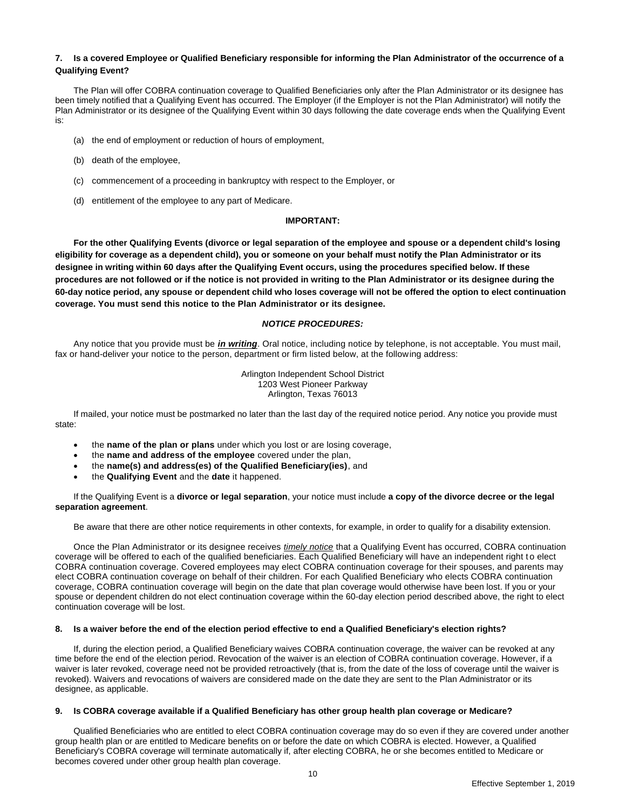# **7. Is a covered Employee or Qualified Beneficiary responsible for informing the Plan Administrator of the occurrence of a Qualifying Event?**

The Plan will offer COBRA continuation coverage to Qualified Beneficiaries only after the Plan Administrator or its designee has been timely notified that a Qualifying Event has occurred. The Employer (if the Employer is not the Plan Administrator) will notify the Plan Administrator or its designee of the Qualifying Event within 30 days following the date coverage ends when the Qualifying Event is:

- (a) the end of employment or reduction of hours of employment,
- (b) death of the employee,
- (c) commencement of a proceeding in bankruptcy with respect to the Employer, or
- (d) entitlement of the employee to any part of Medicare.

# **IMPORTANT:**

**For the other Qualifying Events (divorce or legal separation of the employee and spouse or a dependent child's losing eligibility for coverage as a dependent child), you or someone on your behalf must notify the Plan Administrator or its designee in writing within 60 days after the Qualifying Event occurs, using the procedures specified below. If these procedures are not followed or if the notice is not provided in writing to the Plan Administrator or its designee during the 60-day notice period, any spouse or dependent child who loses coverage will not be offered the option to elect continuation coverage. You must send this notice to the Plan Administrator or its designee.**

# *NOTICE PROCEDURES:*

Any notice that you provide must be *in writing*. Oral notice, including notice by telephone, is not acceptable. You must mail, fax or hand-deliver your notice to the person, department or firm listed below, at the following address:

> Arlington Independent School District 1203 West Pioneer Parkway Arlington, Texas 76013

If mailed, your notice must be postmarked no later than the last day of the required notice period. Any notice you provide must state:

- the **name of the plan or plans** under which you lost or are losing coverage,
- the **name and address of the employee** covered under the plan,
- the **name(s) and address(es) of the Qualified Beneficiary(ies)**, and
- the **Qualifying Event** and the **date** it happened.

If the Qualifying Event is a **divorce or legal separation**, your notice must include **a copy of the divorce decree or the legal separation agreement**.

Be aware that there are other notice requirements in other contexts, for example, in order to qualify for a disability extension.

Once the Plan Administrator or its designee receives *timely notice* that a Qualifying Event has occurred, COBRA continuation coverage will be offered to each of the qualified beneficiaries. Each Qualified Beneficiary will have an independent right to elect COBRA continuation coverage. Covered employees may elect COBRA continuation coverage for their spouses, and parents may elect COBRA continuation coverage on behalf of their children. For each Qualified Beneficiary who elects COBRA continuation coverage, COBRA continuation coverage will begin on the date that plan coverage would otherwise have been lost. If you or your spouse or dependent children do not elect continuation coverage within the 60-day election period described above, the right to elect continuation coverage will be lost.

# **8. Is a waiver before the end of the election period effective to end a Qualified Beneficiary's election rights?**

If, during the election period, a Qualified Beneficiary waives COBRA continuation coverage, the waiver can be revoked at any time before the end of the election period. Revocation of the waiver is an election of COBRA continuation coverage. However, if a waiver is later revoked, coverage need not be provided retroactively (that is, from the date of the loss of coverage until the waiver is revoked). Waivers and revocations of waivers are considered made on the date they are sent to the Plan Administrator or its designee, as applicable.

#### **9. Is COBRA coverage available if a Qualified Beneficiary has other group health plan coverage or Medicare?**

Qualified Beneficiaries who are entitled to elect COBRA continuation coverage may do so even if they are covered under another group health plan or are entitled to Medicare benefits on or before the date on which COBRA is elected. However, a Qualified Beneficiary's COBRA coverage will terminate automatically if, after electing COBRA, he or she becomes entitled to Medicare or becomes covered under other group health plan coverage.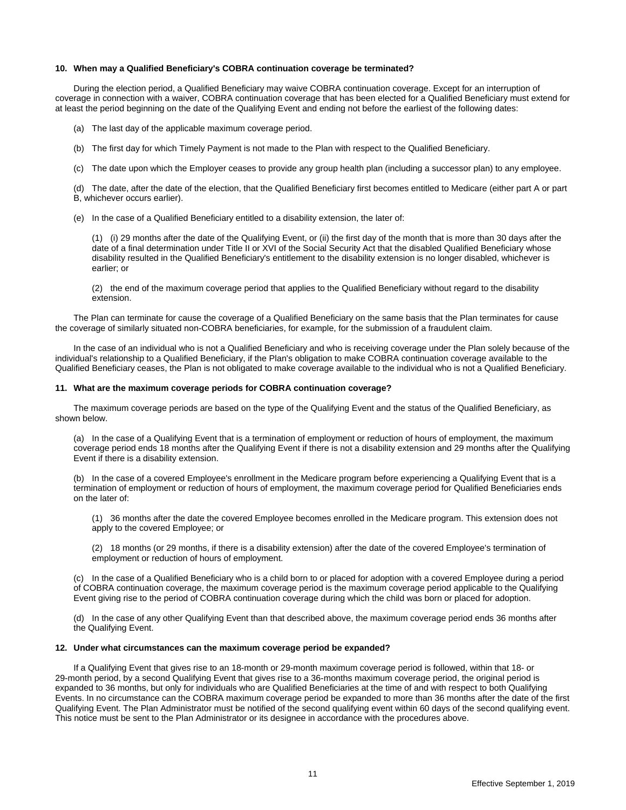#### **10. When may a Qualified Beneficiary's COBRA continuation coverage be terminated?**

During the election period, a Qualified Beneficiary may waive COBRA continuation coverage. Except for an interruption of coverage in connection with a waiver, COBRA continuation coverage that has been elected for a Qualified Beneficiary must extend for at least the period beginning on the date of the Qualifying Event and ending not before the earliest of the following dates:

- (a) The last day of the applicable maximum coverage period.
- (b) The first day for which Timely Payment is not made to the Plan with respect to the Qualified Beneficiary.
- (c) The date upon which the Employer ceases to provide any group health plan (including a successor plan) to any employee.

(d) The date, after the date of the election, that the Qualified Beneficiary first becomes entitled to Medicare (either part A or part B, whichever occurs earlier).

(e) In the case of a Qualified Beneficiary entitled to a disability extension, the later of:

(1) (i) 29 months after the date of the Qualifying Event, or (ii) the first day of the month that is more than 30 days after the date of a final determination under Title II or XVI of the Social Security Act that the disabled Qualified Beneficiary whose disability resulted in the Qualified Beneficiary's entitlement to the disability extension is no longer disabled, whichever is earlier; or

(2) the end of the maximum coverage period that applies to the Qualified Beneficiary without regard to the disability extension.

The Plan can terminate for cause the coverage of a Qualified Beneficiary on the same basis that the Plan terminates for cause the coverage of similarly situated non-COBRA beneficiaries, for example, for the submission of a fraudulent claim.

In the case of an individual who is not a Qualified Beneficiary and who is receiving coverage under the Plan solely because of the individual's relationship to a Qualified Beneficiary, if the Plan's obligation to make COBRA continuation coverage available to the Qualified Beneficiary ceases, the Plan is not obligated to make coverage available to the individual who is not a Qualified Beneficiary.

#### **11. What are the maximum coverage periods for COBRA continuation coverage?**

The maximum coverage periods are based on the type of the Qualifying Event and the status of the Qualified Beneficiary, as shown below.

(a) In the case of a Qualifying Event that is a termination of employment or reduction of hours of employment, the maximum coverage period ends 18 months after the Qualifying Event if there is not a disability extension and 29 months after the Qualifying Event if there is a disability extension.

(b) In the case of a covered Employee's enrollment in the Medicare program before experiencing a Qualifying Event that is a termination of employment or reduction of hours of employment, the maximum coverage period for Qualified Beneficiaries ends on the later of:

(1) 36 months after the date the covered Employee becomes enrolled in the Medicare program. This extension does not apply to the covered Employee; or

(2) 18 months (or 29 months, if there is a disability extension) after the date of the covered Employee's termination of employment or reduction of hours of employment.

(c) In the case of a Qualified Beneficiary who is a child born to or placed for adoption with a covered Employee during a period of COBRA continuation coverage, the maximum coverage period is the maximum coverage period applicable to the Qualifying Event giving rise to the period of COBRA continuation coverage during which the child was born or placed for adoption.

(d) In the case of any other Qualifying Event than that described above, the maximum coverage period ends 36 months after the Qualifying Event.

# **12. Under what circumstances can the maximum coverage period be expanded?**

If a Qualifying Event that gives rise to an 18-month or 29-month maximum coverage period is followed, within that 18- or 29-month period, by a second Qualifying Event that gives rise to a 36-months maximum coverage period, the original period is expanded to 36 months, but only for individuals who are Qualified Beneficiaries at the time of and with respect to both Qualifying Events. In no circumstance can the COBRA maximum coverage period be expanded to more than 36 months after the date of the first Qualifying Event. The Plan Administrator must be notified of the second qualifying event within 60 days of the second qualifying event. This notice must be sent to the Plan Administrator or its designee in accordance with the procedures above.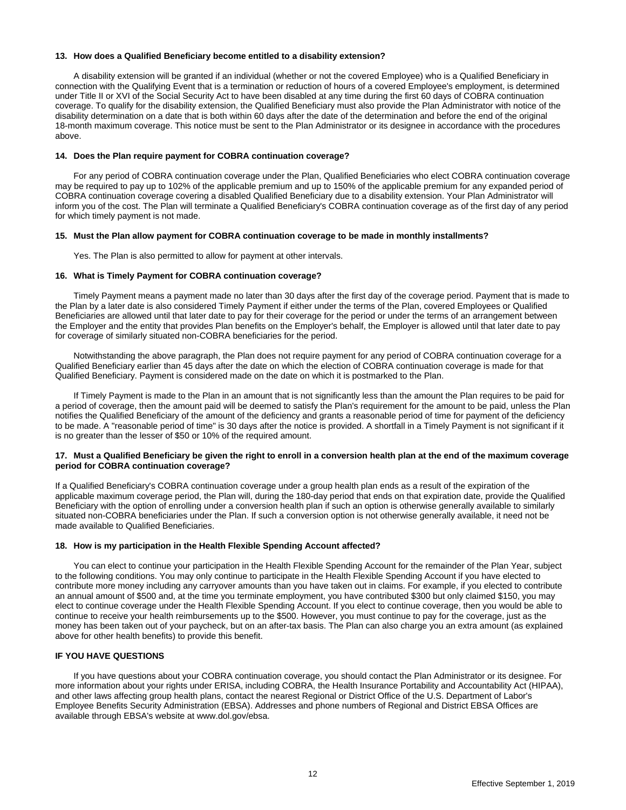# **13. How does a Qualified Beneficiary become entitled to a disability extension?**

A disability extension will be granted if an individual (whether or not the covered Employee) who is a Qualified Beneficiary in connection with the Qualifying Event that is a termination or reduction of hours of a covered Employee's employment, is determined under Title II or XVI of the Social Security Act to have been disabled at any time during the first 60 days of COBRA continuation coverage. To qualify for the disability extension, the Qualified Beneficiary must also provide the Plan Administrator with notice of the disability determination on a date that is both within 60 days after the date of the determination and before the end of the original 18-month maximum coverage. This notice must be sent to the Plan Administrator or its designee in accordance with the procedures above.

#### **14. Does the Plan require payment for COBRA continuation coverage?**

For any period of COBRA continuation coverage under the Plan, Qualified Beneficiaries who elect COBRA continuation coverage may be required to pay up to 102% of the applicable premium and up to 150% of the applicable premium for any expanded period of COBRA continuation coverage covering a disabled Qualified Beneficiary due to a disability extension. Your Plan Administrator will inform you of the cost. The Plan will terminate a Qualified Beneficiary's COBRA continuation coverage as of the first day of any period for which timely payment is not made.

#### **15. Must the Plan allow payment for COBRA continuation coverage to be made in monthly installments?**

Yes. The Plan is also permitted to allow for payment at other intervals.

# **16. What is Timely Payment for COBRA continuation coverage?**

Timely Payment means a payment made no later than 30 days after the first day of the coverage period. Payment that is made to the Plan by a later date is also considered Timely Payment if either under the terms of the Plan, covered Employees or Qualified Beneficiaries are allowed until that later date to pay for their coverage for the period or under the terms of an arrangement between the Employer and the entity that provides Plan benefits on the Employer's behalf, the Employer is allowed until that later date to pay for coverage of similarly situated non-COBRA beneficiaries for the period.

Notwithstanding the above paragraph, the Plan does not require payment for any period of COBRA continuation coverage for a Qualified Beneficiary earlier than 45 days after the date on which the election of COBRA continuation coverage is made for that Qualified Beneficiary. Payment is considered made on the date on which it is postmarked to the Plan.

If Timely Payment is made to the Plan in an amount that is not significantly less than the amount the Plan requires to be paid for a period of coverage, then the amount paid will be deemed to satisfy the Plan's requirement for the amount to be paid, unless the Plan notifies the Qualified Beneficiary of the amount of the deficiency and grants a reasonable period of time for payment of the deficiency to be made. A "reasonable period of time" is 30 days after the notice is provided. A shortfall in a Timely Payment is not significant if it is no greater than the lesser of \$50 or 10% of the required amount.

#### **17. Must a Qualified Beneficiary be given the right to enroll in a conversion health plan at the end of the maximum coverage period for COBRA continuation coverage?**

If a Qualified Beneficiary's COBRA continuation coverage under a group health plan ends as a result of the expiration of the applicable maximum coverage period, the Plan will, during the 180-day period that ends on that expiration date, provide the Qualified Beneficiary with the option of enrolling under a conversion health plan if such an option is otherwise generally available to similarly situated non-COBRA beneficiaries under the Plan. If such a conversion option is not otherwise generally available, it need not be made available to Qualified Beneficiaries.

# **18. How is my participation in the Health Flexible Spending Account affected?**

You can elect to continue your participation in the Health Flexible Spending Account for the remainder of the Plan Year, subject to the following conditions. You may only continue to participate in the Health Flexible Spending Account if you have elected to contribute more money including any carryover amounts than you have taken out in claims. For example, if you elected to contribute an annual amount of \$500 and, at the time you terminate employment, you have contributed \$300 but only claimed \$150, you may elect to continue coverage under the Health Flexible Spending Account. If you elect to continue coverage, then you would be able to continue to receive your health reimbursements up to the \$500. However, you must continue to pay for the coverage, just as the money has been taken out of your paycheck, but on an after-tax basis. The Plan can also charge you an extra amount (as explained above for other health benefits) to provide this benefit.

# **IF YOU HAVE QUESTIONS**

If you have questions about your COBRA continuation coverage, you should contact the Plan Administrator or its designee. For more information about your rights under ERISA, including COBRA, the Health Insurance Portability and Accountability Act (HIPAA), and other laws affecting group health plans, contact the nearest Regional or District Office of the U.S. Department of Labor's Employee Benefits Security Administration (EBSA). Addresses and phone numbers of Regional and District EBSA Offices are available through EBSA's website at www.dol.gov/ebsa.